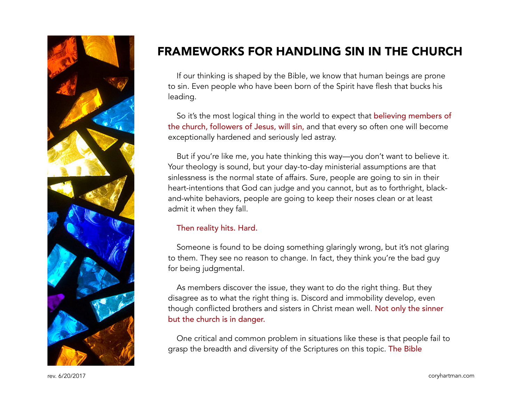

# FRAMEWORKS FOR HANDLING SIN IN THE CHURCH

If our thinking is shaped by the Bible, we know that human beings are prone to sin. Even people who have been born of the Spirit have flesh that bucks his leading.

So it's the most logical thing in the world to expect that believing members of the church, followers of Jesus, will sin, and that every so often one will become exceptionally hardened and seriously led astray.

But if you're like me, you hate thinking this way—you don't want to believe it. Your theology is sound, but your day-to-day ministerial assumptions are that sinlessness is the normal state of affairs. Sure, people are going to sin in their heart-intentions that God can judge and you cannot, but as to forthright, blackand-white behaviors, people are going to keep their noses clean or at least admit it when they fall.

#### Then reality hits. Hard.

Someone is found to be doing something glaringly wrong, but it's not glaring to them. They see no reason to change. In fact, they think you're the bad guy for being judgmental.

As members discover the issue, they want to do the right thing. But they disagree as to what the right thing is. Discord and immobility develop, even though conflicted brothers and sisters in Christ mean well. Not only the sinner but the church is in danger.

One critical and common problem in situations like these is that people fail to grasp the breadth and diversity of the Scriptures on this topic. The Bible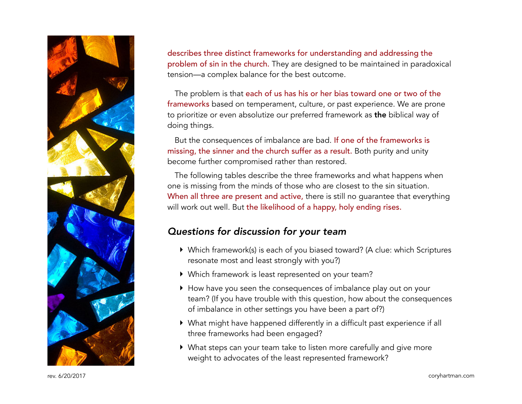

describes three distinct frameworks for understanding and addressing the problem of sin in the church. They are designed to be maintained in paradoxical tension—a complex balance for the best outcome.

The problem is that each of us has his or her bias toward one or two of the frameworks based on temperament, culture, or past experience. We are prone to prioritize or even absolutize our preferred framework as the biblical way of doing things.

But the consequences of imbalance are bad. If one of the frameworks is missing, the sinner and the church suffer as a result. Both purity and unity become further compromised rather than restored.

The following tables describe the three frameworks and what happens when one is missing from the minds of those who are closest to the sin situation. When all three are present and active, there is still no guarantee that everything will work out well. But the likelihood of a happy, holy ending rises.

### *Questions for discussion for your team*

- ‣ Which framework(s) is each of you biased toward? (A clue: which Scriptures resonate most and least strongly with you?)
- ‣ Which framework is least represented on your team?
- ‣ How have you seen the consequences of imbalance play out on your team? (If you have trouble with this question, how about the consequences of imbalance in other settings you have been a part of?)
- ‣ What might have happened differently in a difficult past experience if all three frameworks had been engaged?
- ‣ What steps can your team take to listen more carefully and give more weight to advocates of the least represented framework?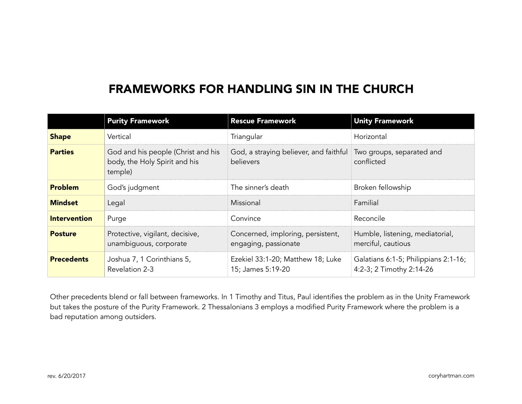## FRAMEWORKS FOR HANDLING SIN IN THE CHURCH

|                     | <b>Purity Framework</b>                                                        | <b>Rescue Framework</b>                                                              | <b>Unity Framework</b>                                           |
|---------------------|--------------------------------------------------------------------------------|--------------------------------------------------------------------------------------|------------------------------------------------------------------|
| <b>Shape</b>        | Vertical                                                                       | Triangular                                                                           | Horizontal                                                       |
| <b>Parties</b>      | God and his people (Christ and his<br>body, the Holy Spirit and his<br>temple) | God, a straying believer, and faithful Two groups, separated and<br><b>believers</b> | conflicted                                                       |
| <b>Problem</b>      | God's judgment                                                                 | The sinner's death                                                                   | Broken fellowship                                                |
| <b>Mindset</b>      | Legal                                                                          | Missional                                                                            | Familial                                                         |
| <b>Intervention</b> | Purge                                                                          | Convince                                                                             | Reconcile                                                        |
| <b>Posture</b>      | Protective, vigilant, decisive,<br>unambiguous, corporate                      | Concerned, imploring, persistent,<br>engaging, passionate                            | Humble, listening, mediatorial,<br>merciful, cautious            |
| <b>Precedents</b>   | Joshua 7, 1 Corinthians 5,<br>Revelation 2-3                                   | Ezekiel 33:1-20; Matthew 18; Luke<br>15; James 5:19-20                               | Galatians 6:1-5; Philippians 2:1-16;<br>4:2-3; 2 Timothy 2:14-26 |

Other precedents blend or fall between frameworks. In 1 Timothy and Titus, Paul identifies the problem as in the Unity Framework but takes the posture of the Purity Framework. 2 Thessalonians 3 employs a modified Purity Framework where the problem is a bad reputation among outsiders.